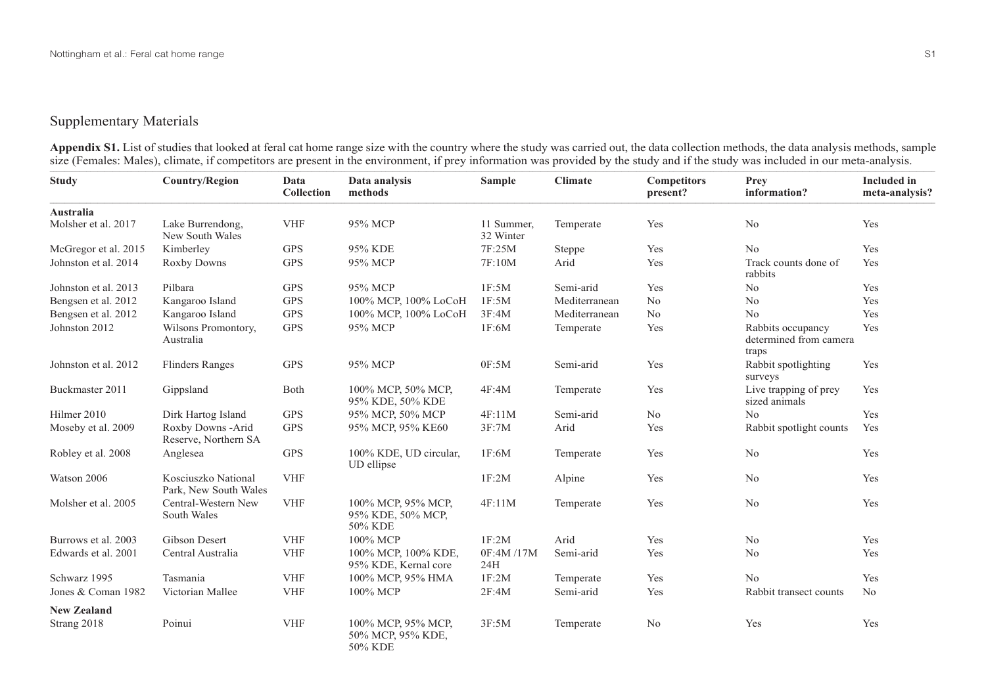## Supplementary Materials

**Appendix S1.** List of studies that looked at feral cat home range size with the country where the study was carried out, the data collection methods, the data analysis methods, sample size (Females: Males), climate, if competitors are present in the environment, if prey information was provided by the study and if the study was included in our meta-analysis.  $\frac{1}{1}$  , and the contract of  $\frac{1}{1}$  , and  $\frac{1}{1}$  , and  $\frac{1}{1}$  , and  $\frac{1}{1}$  , and  $\frac{1}{1}$  , and  $\frac{1}{1}$  , and  $\frac{1}{1}$  , and  $\frac{1}{1}$  , and  $\frac{1}{1}$  , and  $\frac{1}{1}$  , and  $\frac{1}{1}$  , and  $\frac{1}{1}$  , a

| <b>Study</b>         | <b>Country/Region</b>                        | Data<br>Collection | Data analysis<br>methods                           | <b>Sample</b>           | <b>Climate</b> | <b>Competitors</b><br>present? | Prey<br>information?                                 | <b>Included</b> in<br>meta-analysis? |
|----------------------|----------------------------------------------|--------------------|----------------------------------------------------|-------------------------|----------------|--------------------------------|------------------------------------------------------|--------------------------------------|
| Australia            |                                              |                    |                                                    |                         |                |                                |                                                      |                                      |
| Molsher et al. 2017  | Lake Burrendong,<br>New South Wales          | <b>VHF</b>         | 95% MCP                                            | 11 Summer,<br>32 Winter | Temperate      | Yes                            | No                                                   | Yes                                  |
| McGregor et al. 2015 | Kimberley                                    | <b>GPS</b>         | 95% KDE                                            | 7F:25M                  | Steppe         | Yes                            | N <sub>o</sub>                                       | Yes                                  |
| Johnston et al. 2014 | Roxby Downs                                  | <b>GPS</b>         | 95% MCP                                            | 7F:10M                  | Arid           | Yes                            | Track counts done of<br>rabbits                      | Yes                                  |
| Johnston et al. 2013 | Pilbara                                      | <b>GPS</b>         | 95% MCP                                            | 1F:5M                   | Semi-arid      | Yes                            | No                                                   | Yes                                  |
| Bengsen et al. 2012  | Kangaroo Island                              | <b>GPS</b>         | 100% MCP, 100% LoCoH                               | 1F:5M                   | Mediterranean  | No                             | No                                                   | Yes                                  |
| Bengsen et al. 2012  | Kangaroo Island                              | <b>GPS</b>         | 100% MCP, 100% LoCoH                               | 3F:4M                   | Mediterranean  | No                             | No                                                   | Yes                                  |
| Johnston 2012        | Wilsons Promontory,<br>Australia             | <b>GPS</b>         | 95% MCP                                            | 1F:6M                   | Temperate      | Yes                            | Rabbits occupancy<br>determined from camera<br>traps | Yes                                  |
| Johnston et al. 2012 | <b>Flinders Ranges</b>                       | <b>GPS</b>         | 95% MCP                                            | 0F:5M                   | Semi-arid      | Yes                            | Rabbit spotlighting<br>surveys                       | Yes                                  |
| Buckmaster 2011      | Gippsland                                    | Both               | 100% MCP, 50% MCP,<br>95% KDE, 50% KDE             | 4F:4M                   | Temperate      | Yes                            | Live trapping of prey<br>sized animals               | Yes                                  |
| Hilmer 2010          | Dirk Hartog Island                           | <b>GPS</b>         | 95% MCP, 50% MCP                                   | 4F:11M                  | Semi-arid      | No                             | No                                                   | Yes                                  |
| Moseby et al. 2009   | Roxby Downs -Arid<br>Reserve, Northern SA    | <b>GPS</b>         | 95% MCP, 95% KE60                                  | 3F:7M                   | Arid           | Yes                            | Rabbit spotlight counts                              | Yes                                  |
| Robley et al. 2008   | Anglesea                                     | <b>GPS</b>         | 100% KDE, UD circular,<br>UD ellipse               | 1F:6M                   | Temperate      | Yes                            | No                                                   | Yes                                  |
| Watson 2006          | Kosciuszko National<br>Park, New South Wales | <b>VHF</b>         |                                                    | 1F:2M                   | Alpine         | Yes                            | N <sub>o</sub>                                       | Yes                                  |
| Molsher et al. 2005  | Central-Western New<br>South Wales           | <b>VHF</b>         | 100% MCP, 95% MCP,<br>95% KDE, 50% MCP,<br>50% KDE | 4F:11M                  | Temperate      | Yes                            | No                                                   | Yes                                  |
| Burrows et al. 2003  | Gibson Desert                                | <b>VHF</b>         | 100% MCP                                           | 1F:2M                   | Arid           | Yes                            | N <sub>o</sub>                                       | Yes                                  |
| Edwards et al. 2001  | Central Australia                            | <b>VHF</b>         | 100% MCP, 100% KDE,<br>95% KDE, Kernal core        | 0F:4M /17M<br>24H       | Semi-arid      | Yes                            | No                                                   | Yes                                  |
| Schwarz 1995         | Tasmania                                     | <b>VHF</b>         | 100% MCP, 95% HMA                                  | 1F:2M                   | Temperate      | Yes                            | No                                                   | Yes                                  |
| Jones & Coman 1982   | Victorian Mallee                             | <b>VHF</b>         | 100% MCP                                           | 2F:4M                   | Semi-arid      | Yes                            | Rabbit transect counts                               | N <sub>o</sub>                       |
| <b>New Zealand</b>   |                                              |                    |                                                    |                         |                |                                |                                                      |                                      |
| Strang 2018          | Poinui                                       | <b>VHF</b>         | 100% MCP, 95% MCP,<br>50% MCP, 95% KDE,<br>50% KDE | 3F:5M                   | Temperate      | N <sub>o</sub>                 | Yes                                                  | Yes                                  |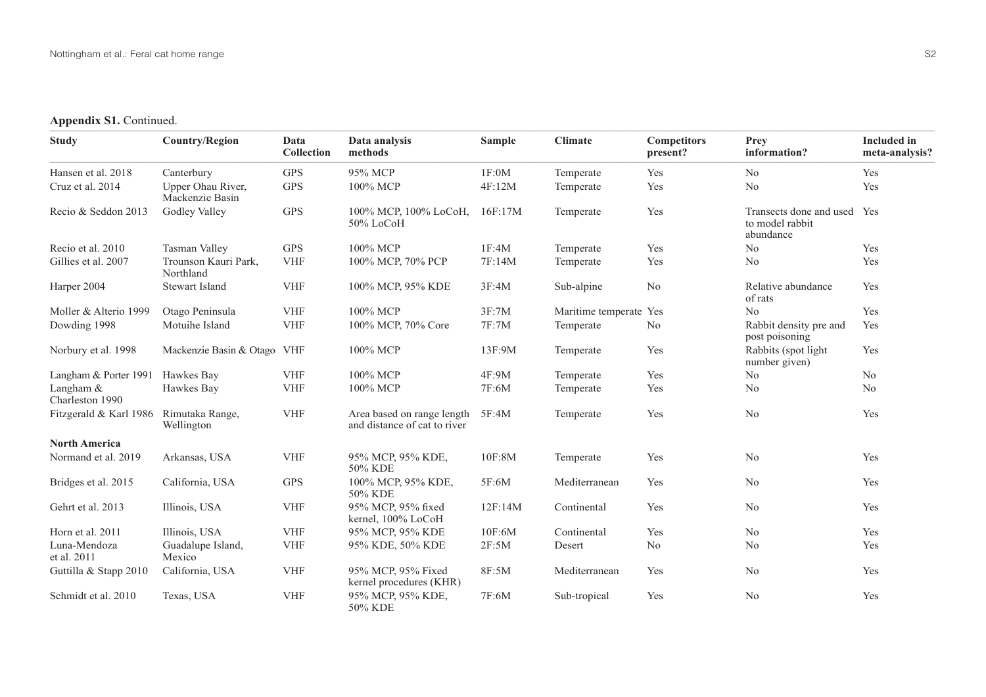## Appendix S1. Continued.

| <b>Study</b>                 | <b>Country/Region</b>                | Data<br><b>Collection</b> | Data analysis<br>methods                                   | <b>Sample</b> | <b>Climate</b>     | <b>Competitors</b><br>present? | Prev<br>information?                                    | <b>Included</b> in<br>meta-analysis? |
|------------------------------|--------------------------------------|---------------------------|------------------------------------------------------------|---------------|--------------------|--------------------------------|---------------------------------------------------------|--------------------------------------|
| Hansen et al. 2018           | Canterbury                           | <b>GPS</b>                | 95% MCP                                                    | 1F:0M         | Temperate          | Yes                            | N <sub>o</sub>                                          | Yes                                  |
| Cruz et al. 2014             | Upper Ohau River,<br>Mackenzie Basin | <b>GPS</b>                | 100% MCP                                                   | 4F:12M        | Temperate          | Yes                            | N <sub>o</sub>                                          | Yes                                  |
| Recio & Seddon 2013          | Godley Valley                        | <b>GPS</b>                | 100% MCP, 100% LoCoH,<br>50% LoCoH                         | 16F:17M       | Temperate          | Yes                            | Transects done and used<br>to model rabbit<br>abundance | Yes                                  |
| Recio et al. 2010            | Tasman Valley                        | <b>GPS</b>                | 100% MCP                                                   | 1F:4M         | Temperate          | Yes                            | No                                                      | Yes                                  |
| Gillies et al. 2007          | Trounson Kauri Park,<br>Northland    | <b>VHF</b>                | 100% MCP, 70% PCP                                          | 7F:14M        | Temperate          | Yes                            | N <sub>o</sub>                                          | Yes                                  |
| Harper 2004                  | <b>Stewart Island</b>                | <b>VHF</b>                | 100% MCP, 95% KDE                                          | 3F:4M         | Sub-alpine         | N <sub>o</sub>                 | Relative abundance<br>of rats                           | Yes                                  |
| Moller & Alterio 1999        | Otago Peninsula                      | <b>VHF</b>                | 100% MCP                                                   | 3F:7M         | Maritime temperate | Yes                            | N <sub>o</sub>                                          | Yes                                  |
| Dowding 1998                 | Motuihe Island                       | <b>VHF</b>                | 100% MCP, 70% Core                                         | 7F:7M         | Temperate          | No                             | Rabbit density pre and<br>post poisoning                | Yes                                  |
| Norbury et al. 1998          | Mackenzie Basin & Otago VHF          |                           | 100% MCP                                                   | 13F:9M        | Temperate          | Yes                            | Rabbits (spot light)<br>number given)                   | Yes                                  |
| Langham & Porter 1991        | Hawkes Bay                           | <b>VHF</b>                | 100% MCP                                                   | 4F:9M         | Temperate          | Yes                            | N <sub>o</sub>                                          | No                                   |
| Langham &<br>Charleston 1990 | Hawkes Bay                           | <b>VHF</b>                | 100% MCP                                                   | 7F:6M         | Temperate          | Yes                            | N <sub>o</sub>                                          | N <sub>o</sub>                       |
| Fitzgerald & Karl 1986       | Rimutaka Range,<br>Wellington        | <b>VHF</b>                | Area based on range length<br>and distance of cat to river | 5F:4M         | Temperate          | Yes                            | N <sub>o</sub>                                          | Yes                                  |
| <b>North America</b>         |                                      |                           |                                                            |               |                    |                                |                                                         |                                      |
| Normand et al. 2019          | Arkansas, USA                        | <b>VHF</b>                | 95% MCP, 95% KDE,<br>50% KDE                               | 10F:8M        | Temperate          | Yes                            | N <sub>o</sub>                                          | Yes                                  |
| Bridges et al. 2015          | California, USA                      | <b>GPS</b>                | 100% MCP, 95% KDE,<br>50% KDE                              | 5F:6M         | Mediterranean      | Yes                            | N <sub>o</sub>                                          | Yes                                  |
| Gehrt et al. 2013            | Illinois, USA                        | <b>VHF</b>                | 95% MCP, 95% fixed<br>kernel, 100% LoCoH                   | 12F:14M       | Continental        | Yes                            | N <sub>o</sub>                                          | Yes                                  |
| Horn et al. 2011             | Illinois, USA                        | <b>VHF</b>                | 95% MCP, 95% KDE                                           | 10F:6M        | Continental        | Yes                            | N <sub>o</sub>                                          | Yes                                  |
| Luna-Mendoza<br>et al. 2011  | Guadalupe Island,<br>Mexico          | <b>VHF</b>                | 95% KDE, 50% KDE                                           | 2F:5M         | Desert             | N <sub>o</sub>                 | N <sub>o</sub>                                          | Yes                                  |
| Guttilla & Stapp 2010        | California, USA                      | <b>VHF</b>                | 95% MCP, 95% Fixed<br>kernel procedures (KHR)              | 8F:5M         | Mediterranean      | Yes                            | N <sub>o</sub>                                          | Yes                                  |
| Schmidt et al. 2010          | Texas, USA                           | <b>VHF</b>                | 95% MCP, 95% KDE,<br>50% KDE                               | 7F:6M         | Sub-tropical       | Yes                            | N <sub>o</sub>                                          | Yes                                  |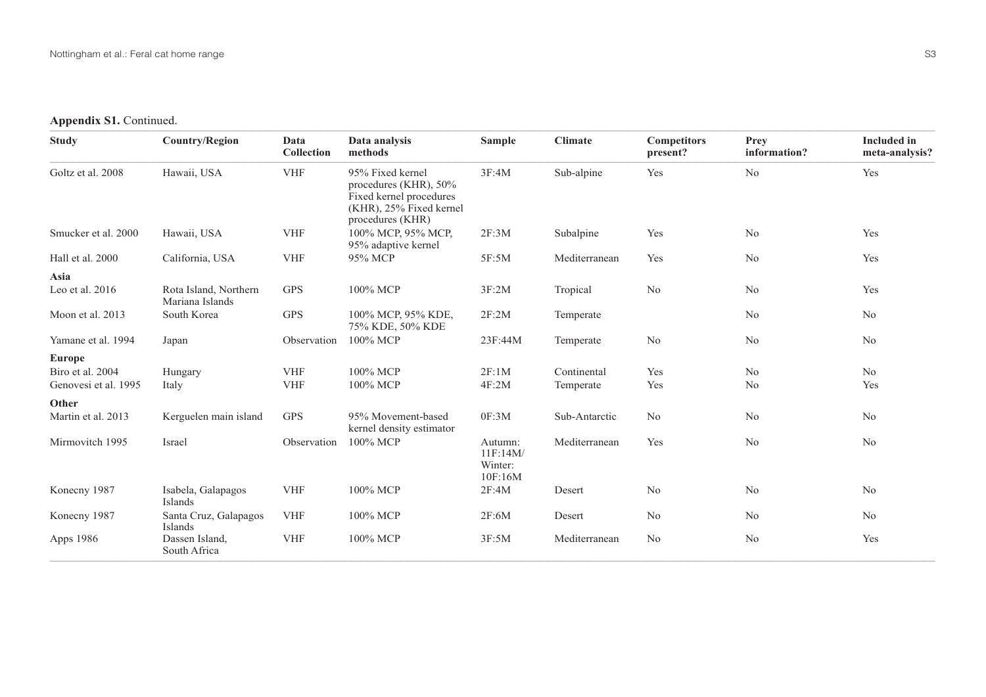## Appendix S1. Continued.

| <b>Study</b>         | <b>Country/Region</b>                    | Data<br>Collection                 | Data analysis<br>methods                                                                                               | <b>Sample</b>                             | <b>Climate</b> | <b>Competitors</b><br>present? | Prev<br>information? | <b>Included</b> in<br>meta-analysis? |
|----------------------|------------------------------------------|------------------------------------|------------------------------------------------------------------------------------------------------------------------|-------------------------------------------|----------------|--------------------------------|----------------------|--------------------------------------|
| Goltz et al. 2008    | Hawaii, USA                              | <b>VHF</b>                         | 95% Fixed kernel<br>procedures (KHR), $50\%$<br>Fixed kernel procedures<br>(KHR), 25% Fixed kernel<br>procedures (KHR) | 3F:4M                                     | Sub-alpine     | Yes                            | N <sub>o</sub>       | Yes                                  |
| Smucker et al. 2000  | Hawaii, USA                              | $\ensuremath{\mathsf{VHF}}\xspace$ | 100% MCP, 95% MCP,<br>95% adaptive kernel                                                                              | 2F:3M                                     | Subalpine      | Yes                            | N <sub>o</sub>       | Yes                                  |
| Hall et al. 2000     | California, USA                          | <b>VHF</b>                         | 95% MCP                                                                                                                | 5F:5M                                     | Mediterranean  | Yes                            | N <sub>o</sub>       | Yes                                  |
| Asia                 |                                          |                                    |                                                                                                                        |                                           |                |                                |                      |                                      |
| Leo et al. 2016      | Rota Island, Northern<br>Mariana Islands | <b>GPS</b>                         | 100% MCP                                                                                                               | 3F:2M                                     | Tropical       | N <sub>o</sub>                 | N <sub>o</sub>       | Yes                                  |
| Moon et al. 2013     | South Korea                              | <b>GPS</b>                         | 100% MCP, 95% KDE,<br>75% KDE, 50% KDE                                                                                 | 2F:2M                                     | Temperate      |                                | N <sub>o</sub>       | N <sub>o</sub>                       |
| Yamane et al. 1994   | Japan                                    | Observation                        | 100% MCP                                                                                                               | 23F:44M                                   | Temperate      | N <sub>o</sub>                 | No                   | No                                   |
| <b>Europe</b>        |                                          |                                    |                                                                                                                        |                                           |                |                                |                      |                                      |
| Biro et al. 2004     | Hungary                                  | <b>VHF</b>                         | 100% MCP                                                                                                               | 2F:1M                                     | Continental    | Yes                            | No                   | No                                   |
| Genovesi et al. 1995 | Italy                                    | <b>VHF</b>                         | 100% MCP                                                                                                               | 4F:2M                                     | Temperate      | Yes                            | No                   | Yes                                  |
| Other                |                                          |                                    |                                                                                                                        |                                           |                |                                |                      |                                      |
| Martin et al. 2013   | Kerguelen main island                    | <b>GPS</b>                         | 95% Movement-based<br>kernel density estimator                                                                         | 0F:3M                                     | Sub-Antarctic  | N <sub>o</sub>                 | N <sub>o</sub>       | N <sub>o</sub>                       |
| Mirmovitch 1995      | Israel                                   | Observation                        | 100% MCP                                                                                                               | Autumn:<br>11F:14M/<br>Winter:<br>10F:16M | Mediterranean  | Yes                            | No                   | N <sub>o</sub>                       |
| Konecny 1987         | Isabela, Galapagos<br>Islands            | <b>VHF</b>                         | 100% MCP                                                                                                               | 2F:4M                                     | Desert         | N <sub>o</sub>                 | No                   | No                                   |
| Konecny 1987         | Santa Cruz, Galapagos<br>Islands         | <b>VHF</b>                         | 100% MCP                                                                                                               | 2F:6M                                     | Desert         | N <sub>o</sub>                 | No                   | N <sub>o</sub>                       |
| Apps 1986            | Dassen Island,<br>South Africa           | <b>VHF</b>                         | 100% MCP                                                                                                               | 3F:5M                                     | Mediterranean  | N <sub>o</sub>                 | N <sub>o</sub>       | Yes                                  |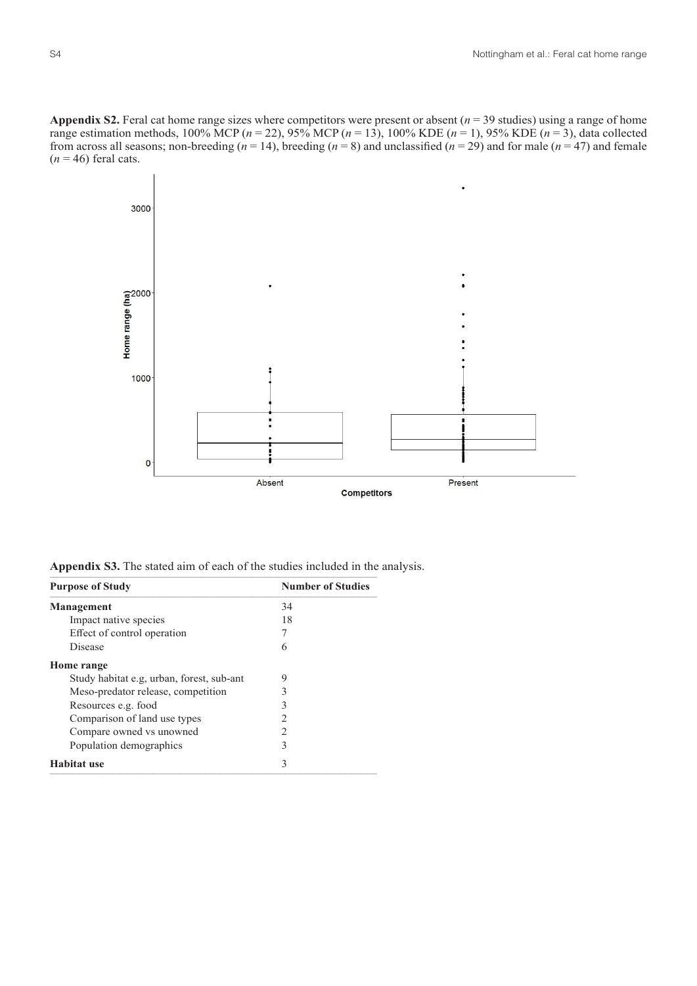**Appendix S2.** Feral cat home range sizes where competitors were present or absent ( $n = 39$  studies) using a range of home range estimation methods, 100% MCP ( $n = 22$ ), 95% MCP ( $n = 13$ ), 100% KDE ( $n = 1$ ), 95% KDE ( $n = 3$ ), data collected from across all seasons; non-breeding  $(n = 14)$ , breeding  $(n = 8)$  and unclassified  $(n = 29)$  and for male  $(n = 47)$  and female  $(n = 46)$  feral cats.



Appendix S3. The stated aim of each of the studies included in the analysis.

| <b>Purpose of Study</b>                   | <b>Number of Studies</b> |
|-------------------------------------------|--------------------------|
| <b>Management</b>                         | 34                       |
| Impact native species                     | 18                       |
| Effect of control operation               |                          |
| <b>Disease</b>                            | 6                        |
| Home range                                |                          |
| Study habitat e.g, urban, forest, sub-ant | 9                        |
| Meso-predator release, competition        | 3                        |
| Resources e.g. food                       |                          |
| Comparison of land use types              |                          |
| Compare owned vs unowned                  |                          |
| Population demographics                   | 3                        |
| <b>Habitat use</b>                        | 3                        |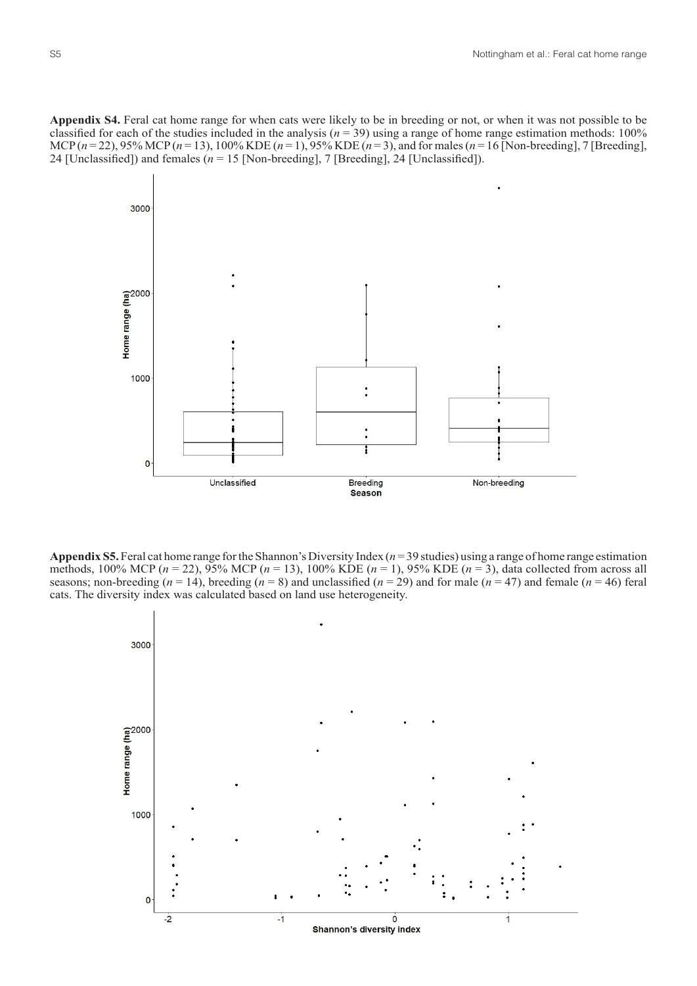**Appendix S4.** Feral cat home range for when cats were likely to be in breeding or not, or when it was not possible to be classified for each of the studies included in the analysis ( $n = 39$ ) using a range of home range estimation methods: 100% MCP (*n* = 22), 95% MCP (*n* = 13), 100% KDE (*n* = 1), 95% KDE (*n* = 3), and for males (*n* = 16 [Non-breeding], 7 [Breeding], 24 [Unclassified]) and females  $(n = 15$  [Non-breeding], 7 [Breeding], 24 [Unclassified]).



**Appendix S5.** Feral cat home range for the Shannon's Diversity Index (*n* = 39 studies) using a range of home range estimation methods, 100% MCP ( $n = 22$ ), 95% MCP ( $n = 13$ ), 100% KDE ( $n = 1$ ), 95% KDE ( $n = 3$ ), data collected from across all seasons; non-breeding  $(n = 14)$ , breeding  $(n = 8)$  and unclassified  $(n = 29)$  and for male  $(n = 47)$  and female  $(n = 46)$  feral cats. The diversity index was calculated based on land use heterogeneity.

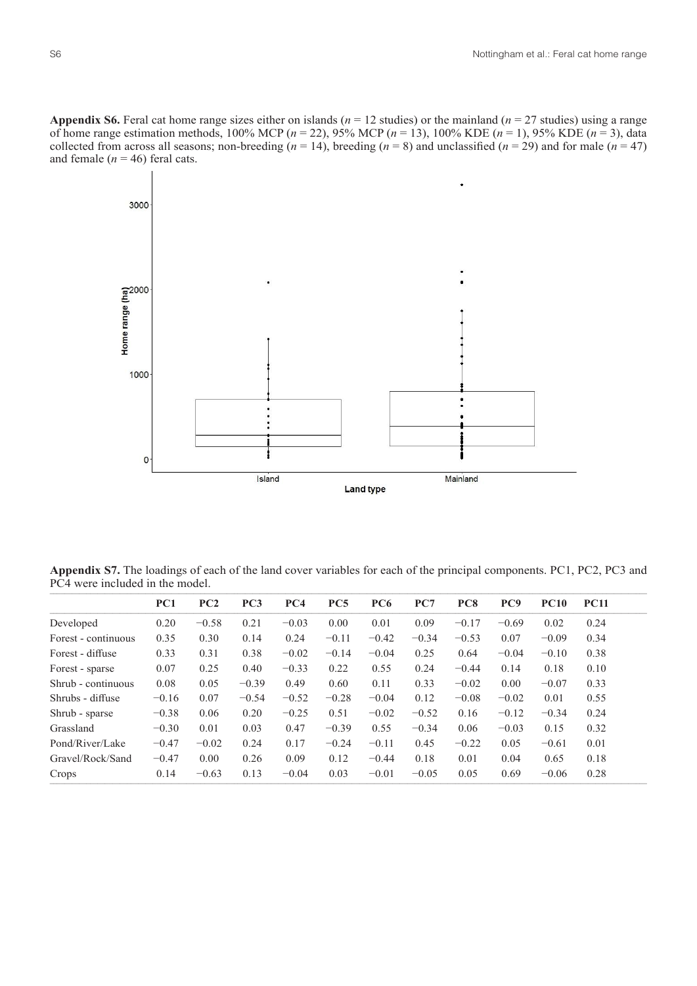**Appendix S6.** Feral cat home range sizes either on islands ( $n = 12$  studies) or the mainland ( $n = 27$  studies) using a range of home range estimation methods, 100% MCP (*n* = 22), 95% MCP (*n* = 13), 100% KDE (*n* = 1), 95% KDE (*n* = 3), data collected from across all seasons; non-breeding  $(n = 14)$ , breeding  $(n = 8)$  and unclassified  $(n = 29)$  and for male  $(n = 47)$ and female  $(n = 46)$  feral cats.



**Appendix S7.** The loadings of each of the land cover variables for each of the principal components. PC1, PC2, PC3 and PC4 were included in the model.

|                     | PC1     | PC2     | PC3     | PC4     | PC <sub>5</sub> | PC <sub>6</sub> | PC7     | PC <sub>8</sub> | PC <sub>9</sub> | <b>PC10</b> | <b>PC11</b> |
|---------------------|---------|---------|---------|---------|-----------------|-----------------|---------|-----------------|-----------------|-------------|-------------|
| Developed           | 0.20    | $-0.58$ | 0.21    | $-0.03$ | 0.00            | 0.01            | 0.09    | $-0.17$         | $-0.69$         | 0.02        | 0.24        |
| Forest - continuous | 0.35    | 0.30    | 0.14    | 0.24    | $-0.11$         | $-0.42$         | $-0.34$ | $-0.53$         | 0.07            | $-0.09$     | 0.34        |
| Forest - diffuse    | 0.33    | 0.31    | 0.38    | $-0.02$ | $-0.14$         | $-0.04$         | 0.25    | 0.64            | $-0.04$         | $-0.10$     | 0.38        |
| Forest - sparse     | 0.07    | 0.25    | 0.40    | $-0.33$ | 0.22            | 0.55            | 0.24    | $-0.44$         | 0.14            | 0.18        | 0.10        |
| Shrub - continuous  | 0.08    | 0.05    | $-0.39$ | 0.49    | 0.60            | 0.11            | 0.33    | $-0.02$         | 0.00            | $-0.07$     | 0.33        |
| Shrubs - diffuse    | $-0.16$ | 0.07    | $-0.54$ | $-0.52$ | $-0.28$         | $-0.04$         | 0.12    | $-0.08$         | $-0.02$         | 0.01        | 0.55        |
| Shrub - sparse      | $-0.38$ | 0.06    | 0.20    | $-0.25$ | 0.51            | $-0.02$         | $-0.52$ | 0.16            | $-0.12$         | $-0.34$     | 0.24        |
| Grassland           | $-0.30$ | 0.01    | 0.03    | 0.47    | $-0.39$         | 0.55            | $-0.34$ | 0.06            | $-0.03$         | 0.15        | 0.32        |
| Pond/River/Lake     | $-0.47$ | $-0.02$ | 0.24    | 0.17    | $-0.24$         | $-0.11$         | 0.45    | $-0.22$         | 0.05            | $-0.61$     | 0.01        |
| Gravel/Rock/Sand    | $-0.47$ | 0.00    | 0.26    | 0.09    | 0.12            | $-0.44$         | 0.18    | 0.01            | 0.04            | 0.65        | 0.18        |
| Crops               | 0.14    | $-0.63$ | 0.13    | $-0.04$ | 0.03            | $-0.01$         | $-0.05$ | 0.05            | 0.69            | $-0.06$     | 0.28        |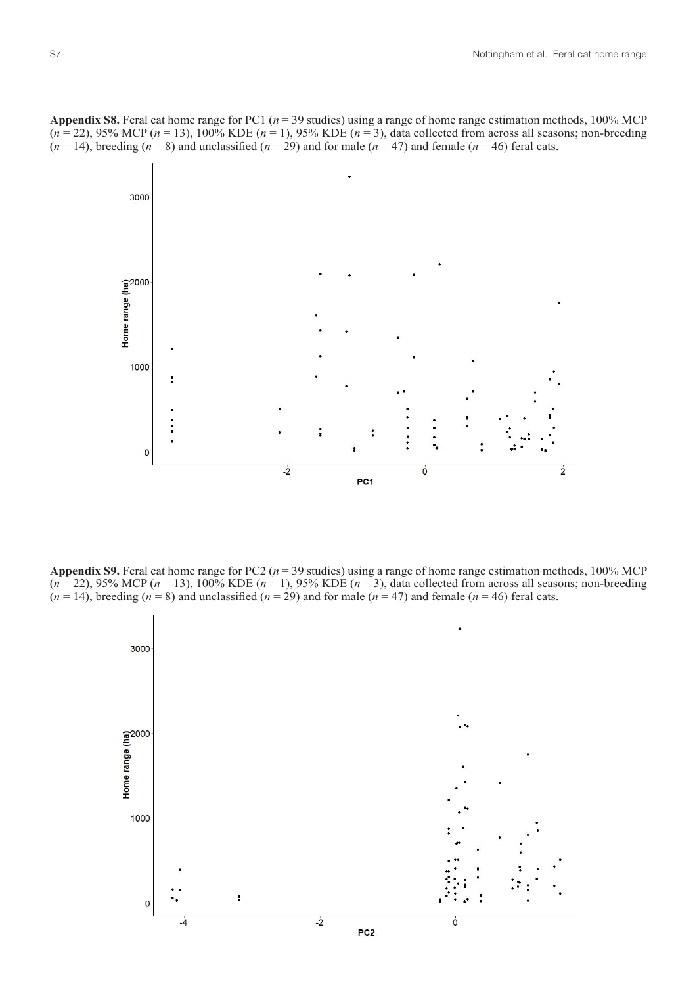



**Appendix S9.** Feral cat home range for PC2 ( $n = 39$  studies) using a range of home range estimation methods, 100% MCP  $(n=22)$ , 95% MCP  $(n=13)$ , 100% KDE  $(n=1)$ , 95% KDE  $(n=3)$ , data collected from across all seasons; non-breeding  $(n = 14)$ , breeding  $(n = 8)$  and unclassified  $(n = 29)$  and for male  $(n = 47)$  and female  $(n = 46)$  feral cats.

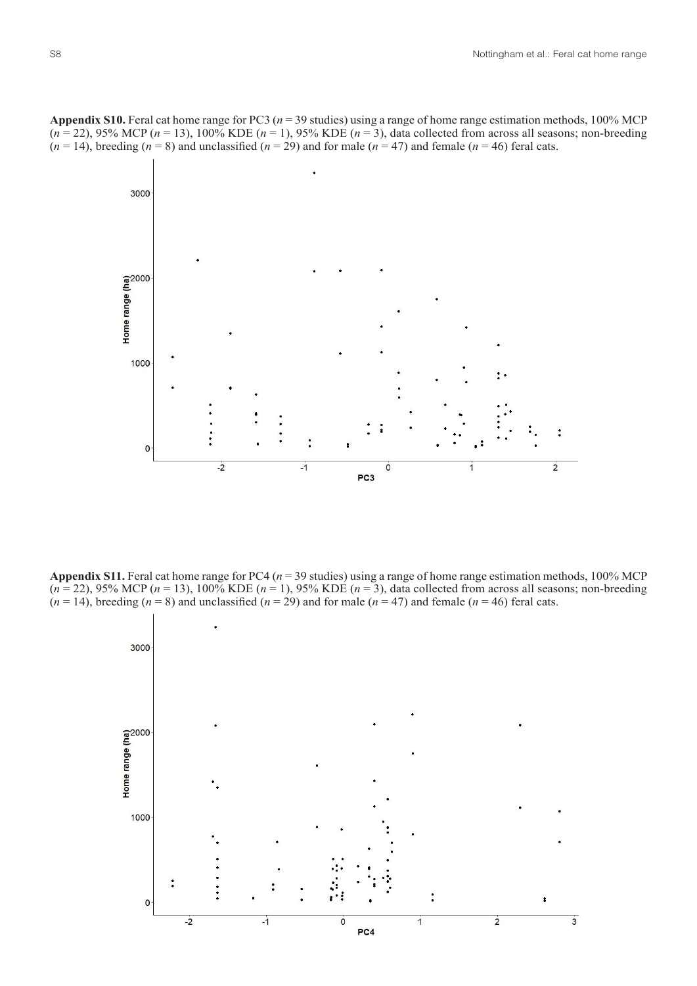**Appendix S10.** Feral cat home range for PC3 (*n* = 39 studies) using a range of home range estimation methods, 100% MCP (*n* = 22), 95% MCP (*n* = 13), 100% KDE (*n* = 1), 95% KDE (*n* = 3), data collected from across all seasons; non-breeding  $(n = 14)$ , breeding  $(n = 8)$  and unclassified  $(n = 29)$  and for male  $(n = 47)$  and female  $(n = 46)$  feral cats.



**Appendix S11.** Feral cat home range for PC4 (*n* = 39 studies) using a range of home range estimation methods, 100% MCP (*n* = 22), 95% MCP (*n* = 13), 100% KDE (*n* = 1), 95% KDE (*n* = 3), data collected from across all seasons; non-breeding  $(n = 14)$ , breeding  $(n = 8)$  and unclassified  $(n = 29)$  and for male  $(n = 47)$  and female  $(n = 46)$  feral cats.

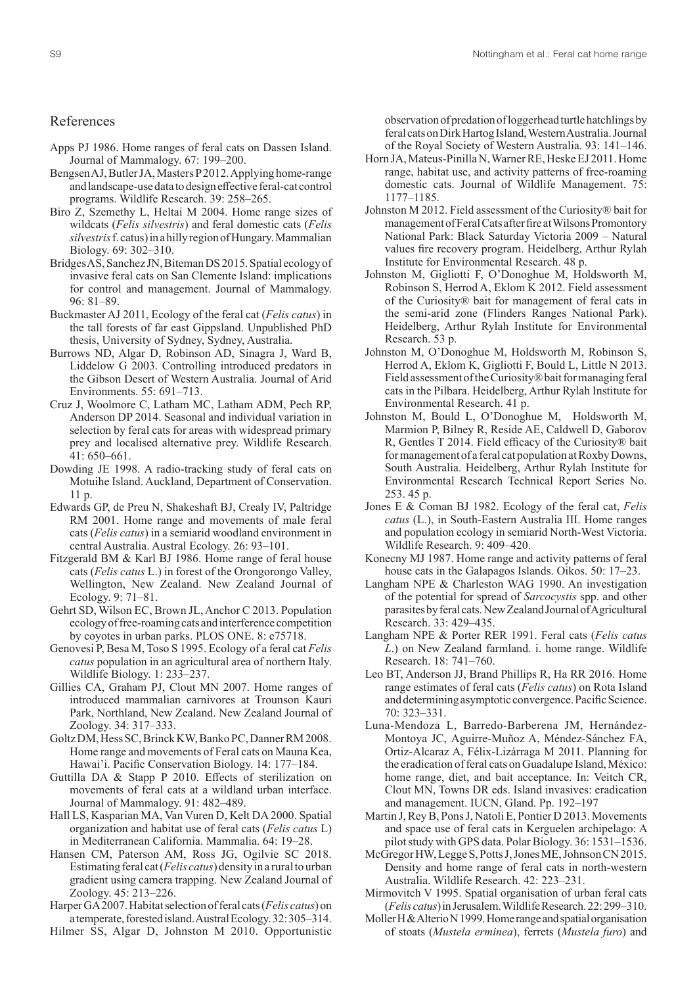## References

- Apps PJ 1986. Home ranges of feral cats on Dassen Island. Journal of Mammalogy. 67: 199–200.
- Bengsen AJ, Butler JA, Masters P 2012. Applying home-range and landscape-use data to design effective feral-cat control programs. Wildlife Research. 39: 258–265.
- Biro Z, Szemethy L, Heltai M 2004. Home range sizes of wildcats (*Felis silvestris*) and feral domestic cats (*Felis silvestris* f. catus) in a hilly region of Hungary. Mammalian Biology. 69: 302–310.
- Bridges AS, Sanchez JN, Biteman DS 2015. Spatial ecology of invasive feral cats on San Clemente Island: implications for control and management. Journal of Mammalogy. 96: 81–89.
- Buckmaster AJ 2011, Ecology of the feral cat (*Felis catus*) in the tall forests of far east Gippsland. Unpublished PhD thesis, University of Sydney, Sydney, Australia.
- Burrows ND, Algar D, Robinson AD, Sinagra J, Ward B, Liddelow G 2003. Controlling introduced predators in the Gibson Desert of Western Australia. Journal of Arid Environments. 55: 691–713.
- Cruz J, Woolmore C, Latham MC, Latham ADM, Pech RP, Anderson DP 2014. Seasonal and individual variation in selection by feral cats for areas with widespread primary prey and localised alternative prey. Wildlife Research. 41: 650–661.
- Dowding JE 1998. A radio-tracking study of feral cats on Motuihe Island. Auckland, Department of Conservation. 11 p.
- Edwards GP, de Preu N, Shakeshaft BJ, Crealy IV, Paltridge RM 2001. Home range and movements of male feral cats (*Felis catus*) in a semiarid woodland environment in central Australia. Austral Ecology. 26: 93–101.
- Fitzgerald BM & Karl BJ 1986. Home range of feral house cats (*Felis catus* L.) in forest of the Orongorongo Valley, Wellington, New Zealand. New Zealand Journal of Ecology. 9: 71–81.
- Gehrt SD, Wilson EC, Brown JL, Anchor C 2013. Population ecology of free-roaming cats and interference competition by coyotes in urban parks. PLOS ONE. 8: e75718.
- Genovesi P, Besa M, Toso S 1995. Ecology of a feral cat *Felis catus* population in an agricultural area of northern Italy. Wildlife Biology. 1: 233–237.
- Gillies CA, Graham PJ, Clout MN 2007. Home ranges of introduced mammalian carnivores at Trounson Kauri Park, Northland, New Zealand. New Zealand Journal of Zoology. 34: 317–333.
- Goltz DM, Hess SC, Brinck KW, Banko PC, Danner RM 2008. Home range and movements of Feral cats on Mauna Kea, Hawai'i. Pacific Conservation Biology. 14: 177–184.
- Guttilla DA & Stapp P 2010. Effects of sterilization on movements of feral cats at a wildland urban interface. Journal of Mammalogy. 91: 482–489.
- Hall LS, Kasparian MA, Van Vuren D, Kelt DA 2000. Spatial organization and habitat use of feral cats (*Felis catus* L) in Mediterranean California. Mammalia. 64: 19–28.
- Hansen CM, Paterson AM, Ross JG, Ogilvie SC 2018. Estimating feral cat (*Felis catus*) density in a rural to urban gradient using camera trapping. New Zealand Journal of Zoology. 45: 213–226.
- Harper GA 2007. Habitat selection of feral cats (*Felis catus*) on a temperate, forested island. Austral Ecology. 32: 305–314.
- Hilmer SS, Algar D, Johnston M 2010. Opportunistic

observation of predation of loggerhead turtle hatchlings by feral cats on Dirk Hartog Island, Western Australia. Journal of the Royal Society of Western Australia. 93: 141–146.

- Horn JA, Mateus-Pinilla N, Warner RE, Heske EJ 2011. Home range, habitat use, and activity patterns of free-roaming domestic cats. Journal of Wildlife Management. 75: 1177–1185.
- Johnston M 2012. Field assessment of the Curiosity® bait for management of Feral Cats after fire at Wilsons Promontory National Park: Black Saturday Victoria 2009 – Natural values fire recovery program. Heidelberg, Arthur Rylah Institute for Environmental Research. 48 p.
- Johnston M, Gigliotti F, O'Donoghue M, Holdsworth M, Robinson S, Herrod A, Eklom K 2012. Field assessment of the Curiosity® bait for management of feral cats in the semi-arid zone (Flinders Ranges National Park). Heidelberg, Arthur Rylah Institute for Environmental Research. 53 p.
- Johnston M, O'Donoghue M, Holdsworth M, Robinson S, Herrod A, Eklom K, Gigliotti F, Bould L, Little N 2013. Field assessment of the Curiosity® bait for managing feral cats in the Pilbara. Heidelberg, Arthur Rylah Institute for Environmental Research. 41 p.
- Johnston M, Bould L, O'Donoghue M, Holdsworth M, Marmion P, Bilney R, Reside AE, Caldwell D, Gaborov R, Gentles T 2014. Field efficacy of the Curiosity® bait for management of a feral cat population at Roxby Downs, South Australia. Heidelberg, Arthur Rylah Institute for Environmental Research Technical Report Series No. 253. 45 p.
- Jones E & Coman BJ 1982. Ecology of the feral cat, *Felis catus* (L.), in South-Eastern Australia III. Home ranges and population ecology in semiarid North-West Victoria. Wildlife Research. 9: 409–420.
- Konecny MJ 1987. Home range and activity patterns of feral house cats in the Galapagos Islands. Oikos. 50: 17–23.
- Langham NPE & Charleston WAG 1990. An investigation of the potential for spread of *Sarcocystis* spp. and other parasites by feral cats. NewZealand Journal of Agricultural Research. 33: 429–435.
- Langham NPE & Porter RER 1991. Feral cats (*Felis catus L*.) on New Zealand farmland. i. home range. Wildlife Research. 18: 741–760.
- Leo BT, Anderson JJ, Brand Phillips R, Ha RR 2016. Home range estimates of feral cats (*Felis catus*) on Rota Island and determining asymptotic convergence. Pacific Science. 70: 323–331.
- Luna-Mendoza L, Barredo-Barberena JM, Hernández-Montoya JC, Aguirre-Muñoz A, Méndez-Sánchez FA, Ortiz-Alcaraz A, Félix-Lizárraga M 2011. Planning for the eradication of feral cats on Guadalupe Island, México: home range, diet, and bait acceptance. In: Veitch CR, Clout MN, Towns DR eds. Island invasives: eradication and management. IUCN, Gland. Pp. 192–197
- Martin J, Rey B, Pons J, Natoli E, Pontier D 2013. Movements and space use of feral cats in Kerguelen archipelago: A pilot study with GPS data. Polar Biology. 36: 1531–1536.
- McGregor HW, Legge S, Potts J, Jones ME, Johnson CN 2015. Density and home range of feral cats in north-western Australia. Wildlife Research. 42: 223–231.
- Mirmovitch V 1995. Spatial organisation of urban feral cats (*Felis catus*) in Jerusalem. Wildlife Research. 22: 299–310.
- Moller H & Alterio N 1999. Home range and spatial organisation of stoats (*Mustela erminea*), ferrets (*Mustela furo*) and